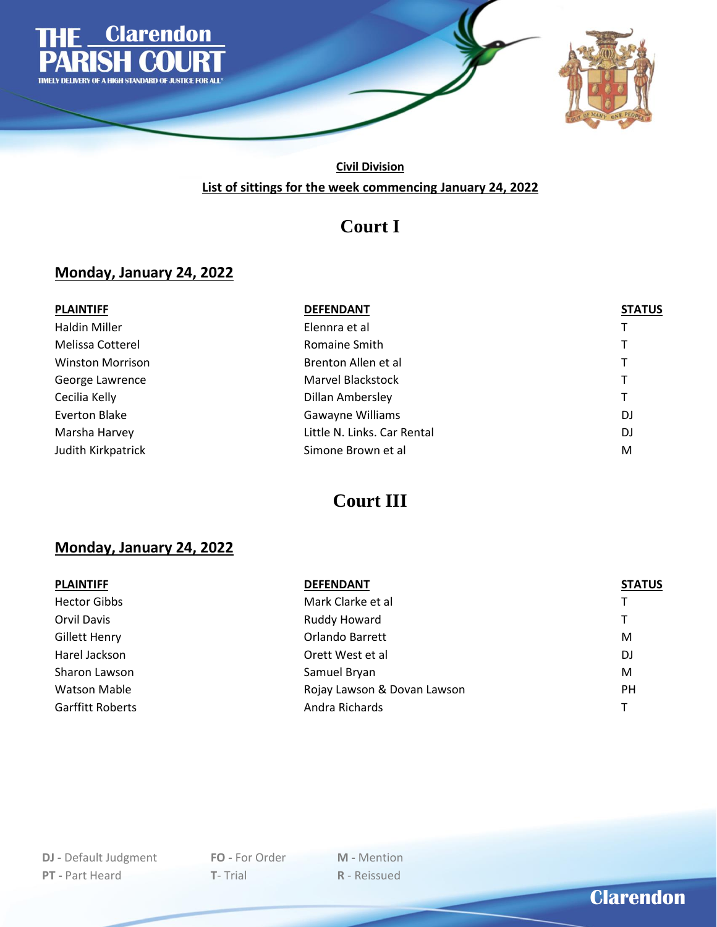

#### **Civil Division List of sittings for the week commencing January 24, 2022**

### **Court I**

#### **Monday, January 24, 2022**

| <b>PLAINTIFF</b>        | <b>DEFENDANT</b>            | <b>STATUS</b> |
|-------------------------|-----------------------------|---------------|
| Haldin Miller           | Elennra et al               |               |
| Melissa Cotterel        | Romaine Smith               | т             |
| <b>Winston Morrison</b> | Brenton Allen et al         | т             |
| George Lawrence         | Marvel Blackstock           | т             |
| Cecilia Kelly           | Dillan Ambersley            | т             |
| Everton Blake           | Gawayne Williams            | DJ            |
| Marsha Harvey           | Little N. Links. Car Rental | DJ            |
| Judith Kirkpatrick      | Simone Brown et al          | M             |

# **Court III**

#### **Monday, January 24, 2022**

| <b>PLAINTIFF</b>        | <b>DEFENDANT</b>            | <b>STATUS</b> |
|-------------------------|-----------------------------|---------------|
| <b>Hector Gibbs</b>     | Mark Clarke et al           | T.            |
| Orvil Davis             | Ruddy Howard                | T.            |
| <b>Gillett Henry</b>    | <b>Orlando Barrett</b>      | M             |
| Harel Jackson           | Orett West et al            | DJ            |
| Sharon Lawson           | Samuel Bryan                | M             |
| <b>Watson Mable</b>     | Rojay Lawson & Dovan Lawson | PH            |
| <b>Garffitt Roberts</b> | Andra Richards              | T             |